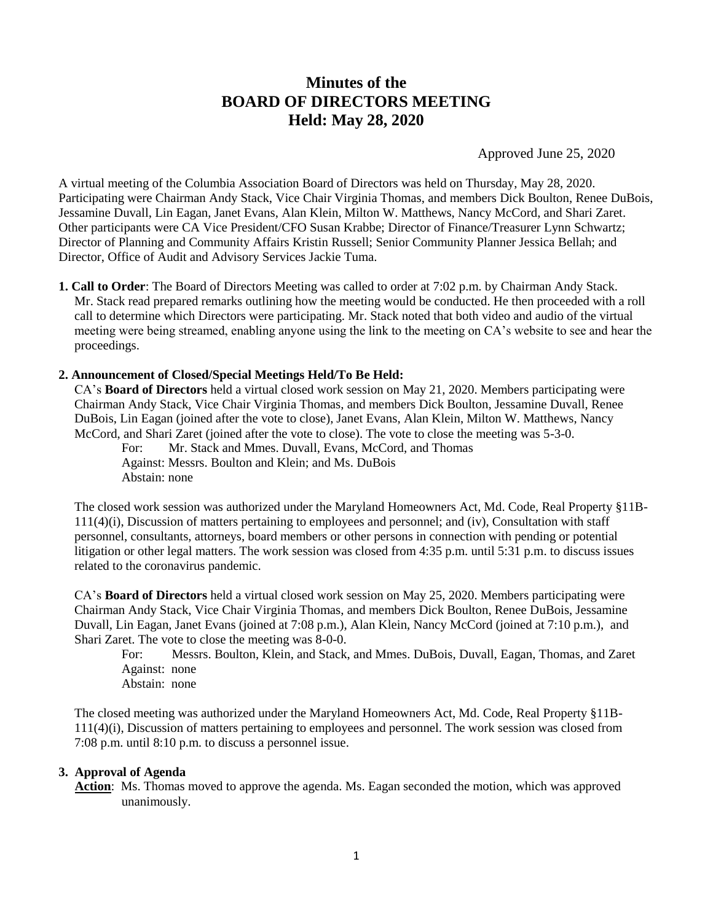# **Minutes of the BOARD OF DIRECTORS MEETING Held: May 28, 2020**

Approved June 25, 2020

A virtual meeting of the Columbia Association Board of Directors was held on Thursday, May 28, 2020. Participating were Chairman Andy Stack, Vice Chair Virginia Thomas, and members Dick Boulton, Renee DuBois, Jessamine Duvall, Lin Eagan, Janet Evans, Alan Klein, Milton W. Matthews, Nancy McCord, and Shari Zaret. Other participants were CA Vice President/CFO Susan Krabbe; Director of Finance/Treasurer Lynn Schwartz; Director of Planning and Community Affairs Kristin Russell; Senior Community Planner Jessica Bellah; and Director, Office of Audit and Advisory Services Jackie Tuma.

**1. Call to Order**: The Board of Directors Meeting was called to order at 7:02 p.m. by Chairman Andy Stack. Mr. Stack read prepared remarks outlining how the meeting would be conducted. He then proceeded with a roll call to determine which Directors were participating. Mr. Stack noted that both video and audio of the virtual meeting were being streamed, enabling anyone using the link to the meeting on CA's website to see and hear the proceedings.

#### **2. Announcement of Closed/Special Meetings Held/To Be Held:**

CA's **Board of Directors** held a virtual closed work session on May 21, 2020. Members participating were Chairman Andy Stack, Vice Chair Virginia Thomas, and members Dick Boulton, Jessamine Duvall, Renee DuBois, Lin Eagan (joined after the vote to close), Janet Evans, Alan Klein, Milton W. Matthews, Nancy McCord, and Shari Zaret (joined after the vote to close). The vote to close the meeting was 5-3-0.

For: Mr. Stack and Mmes. Duvall, Evans, McCord, and Thomas Against: Messrs. Boulton and Klein; and Ms. DuBois Abstain: none

The closed work session was authorized under the Maryland Homeowners Act, Md. Code, Real Property §11B-111(4)(i), Discussion of matters pertaining to employees and personnel; and (iv), Consultation with staff personnel, consultants, attorneys, board members or other persons in connection with pending or potential litigation or other legal matters. The work session was closed from 4:35 p.m. until 5:31 p.m. to discuss issues related to the coronavirus pandemic.

CA's **Board of Directors** held a virtual closed work session on May 25, 2020. Members participating were Chairman Andy Stack, Vice Chair Virginia Thomas, and members Dick Boulton, Renee DuBois, Jessamine Duvall, Lin Eagan, Janet Evans (joined at 7:08 p.m.), Alan Klein, Nancy McCord (joined at 7:10 p.m.), and Shari Zaret. The vote to close the meeting was 8-0-0.

For: Messrs. Boulton, Klein, and Stack, and Mmes. DuBois, Duvall, Eagan, Thomas, and Zaret Against: none Abstain: none

The closed meeting was authorized under the Maryland Homeowners Act, Md. Code, Real Property §11B-111(4)(i), Discussion of matters pertaining to employees and personnel. The work session was closed from 7:08 p.m. until 8:10 p.m. to discuss a personnel issue.

#### **3. Approval of Agenda**

Action: Ms. Thomas moved to approve the agenda. Ms. Eagan seconded the motion, which was approved unanimously.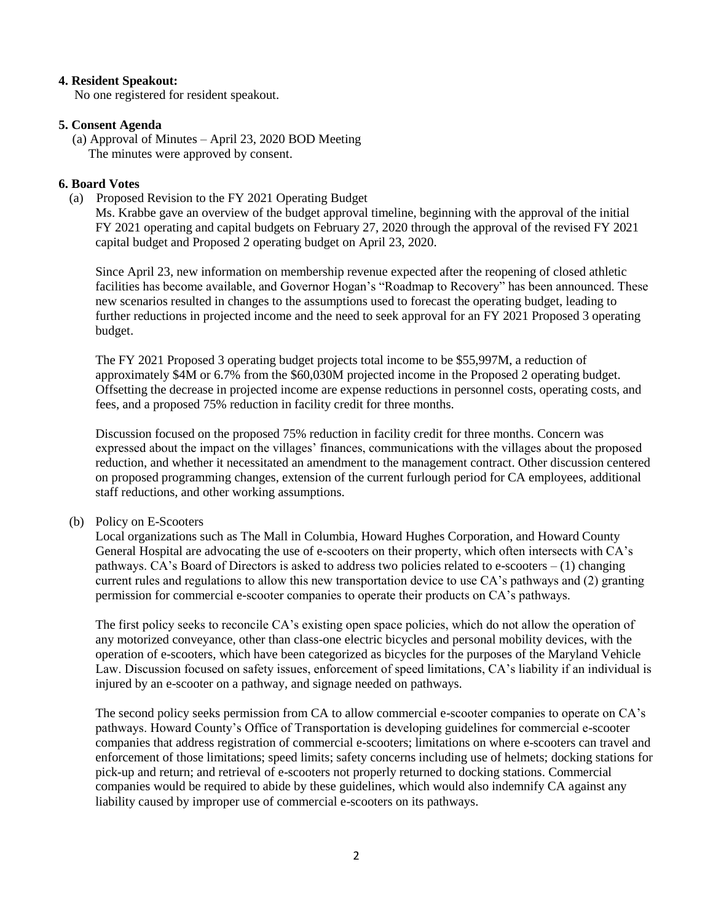#### **4. Resident Speakout:**

No one registered for resident speakout.

## **5. Consent Agenda**

(a) Approval of Minutes – April 23, 2020 BOD Meeting The minutes were approved by consent.

#### **6. Board Votes**

(a) Proposed Revision to the FY 2021 Operating Budget

Ms. Krabbe gave an overview of the budget approval timeline, beginning with the approval of the initial FY 2021 operating and capital budgets on February 27, 2020 through the approval of the revised FY 2021 capital budget and Proposed 2 operating budget on April 23, 2020.

Since April 23, new information on membership revenue expected after the reopening of closed athletic facilities has become available, and Governor Hogan's "Roadmap to Recovery" has been announced. These new scenarios resulted in changes to the assumptions used to forecast the operating budget, leading to further reductions in projected income and the need to seek approval for an FY 2021 Proposed 3 operating budget.

The FY 2021 Proposed 3 operating budget projects total income to be \$55,997M, a reduction of approximately \$4M or 6.7% from the \$60,030M projected income in the Proposed 2 operating budget. Offsetting the decrease in projected income are expense reductions in personnel costs, operating costs, and fees, and a proposed 75% reduction in facility credit for three months.

Discussion focused on the proposed 75% reduction in facility credit for three months. Concern was expressed about the impact on the villages' finances, communications with the villages about the proposed reduction, and whether it necessitated an amendment to the management contract. Other discussion centered on proposed programming changes, extension of the current furlough period for CA employees, additional staff reductions, and other working assumptions.

#### (b) Policy on E-Scooters

Local organizations such as The Mall in Columbia, Howard Hughes Corporation, and Howard County General Hospital are advocating the use of e-scooters on their property, which often intersects with CA's pathways. CA's Board of Directors is asked to address two policies related to e-scooters – (1) changing current rules and regulations to allow this new transportation device to use CA's pathways and (2) granting permission for commercial e-scooter companies to operate their products on CA's pathways.

The first policy seeks to reconcile CA's existing open space policies, which do not allow the operation of any motorized conveyance, other than class-one electric bicycles and personal mobility devices, with the operation of e-scooters, which have been categorized as bicycles for the purposes of the Maryland Vehicle Law. Discussion focused on safety issues, enforcement of speed limitations, CA's liability if an individual is injured by an e-scooter on a pathway, and signage needed on pathways.

The second policy seeks permission from CA to allow commercial e-scooter companies to operate on CA's pathways. Howard County's Office of Transportation is developing guidelines for commercial e-scooter companies that address registration of commercial e-scooters; limitations on where e-scooters can travel and enforcement of those limitations; speed limits; safety concerns including use of helmets; docking stations for pick-up and return; and retrieval of e-scooters not properly returned to docking stations. Commercial companies would be required to abide by these guidelines, which would also indemnify CA against any liability caused by improper use of commercial e-scooters on its pathways.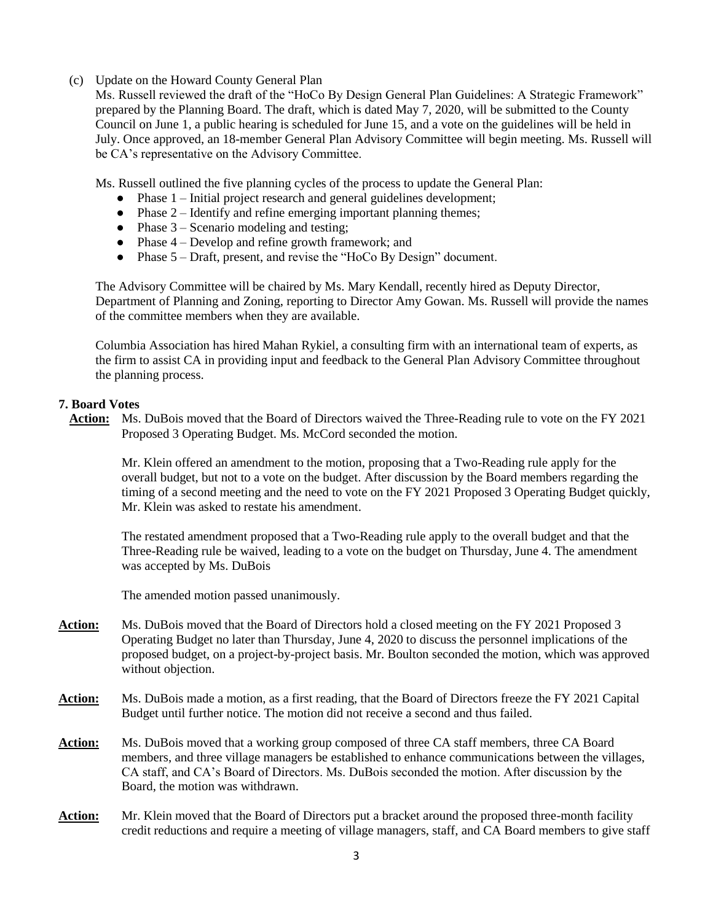# (c) Update on the Howard County General Plan

Ms. Russell reviewed the draft of the "HoCo By Design General Plan Guidelines: A Strategic Framework" prepared by the Planning Board. The draft, which is dated May 7, 2020, will be submitted to the County Council on June 1, a public hearing is scheduled for June 15, and a vote on the guidelines will be held in July. Once approved, an 18-member General Plan Advisory Committee will begin meeting. Ms. Russell will be CA's representative on the Advisory Committee.

Ms. Russell outlined the five planning cycles of the process to update the General Plan:

- Phase 1 Initial project research and general guidelines development;
- $\bullet$  Phase 2 Identify and refine emerging important planning themes;
- $\bullet$  Phase 3 Scenario modeling and testing;
- $\bullet$  Phase 4 Develop and refine growth framework; and
- Phase 5 Draft, present, and revise the "HoCo By Design" document.

The Advisory Committee will be chaired by Ms. Mary Kendall, recently hired as Deputy Director, Department of Planning and Zoning, reporting to Director Amy Gowan. Ms. Russell will provide the names of the committee members when they are available.

Columbia Association has hired Mahan Rykiel, a consulting firm with an international team of experts, as the firm to assist CA in providing input and feedback to the General Plan Advisory Committee throughout the planning process.

## **7. Board Votes**

**Action:** Ms. DuBois moved that the Board of Directors waived the Three-Reading rule to vote on the FY 2021 Proposed 3 Operating Budget. Ms. McCord seconded the motion.

Mr. Klein offered an amendment to the motion, proposing that a Two-Reading rule apply for the overall budget, but not to a vote on the budget. After discussion by the Board members regarding the timing of a second meeting and the need to vote on the FY 2021 Proposed 3 Operating Budget quickly, Mr. Klein was asked to restate his amendment.

The restated amendment proposed that a Two-Reading rule apply to the overall budget and that the Three-Reading rule be waived, leading to a vote on the budget on Thursday, June 4. The amendment was accepted by Ms. DuBois

The amended motion passed unanimously.

- **Action:** Ms. DuBois moved that the Board of Directors hold a closed meeting on the FY 2021 Proposed 3 Operating Budget no later than Thursday, June 4, 2020 to discuss the personnel implications of the proposed budget, on a project-by-project basis. Mr. Boulton seconded the motion, which was approved without objection.
- **Action:** Ms. DuBois made a motion, as a first reading, that the Board of Directors freeze the FY 2021 Capital Budget until further notice. The motion did not receive a second and thus failed.
- **Action:** Ms. DuBois moved that a working group composed of three CA staff members, three CA Board members, and three village managers be established to enhance communications between the villages, CA staff, and CA's Board of Directors. Ms. DuBois seconded the motion. After discussion by the Board, the motion was withdrawn.
- **Action:** Mr. Klein moved that the Board of Directors put a bracket around the proposed three-month facility credit reductions and require a meeting of village managers, staff, and CA Board members to give staff